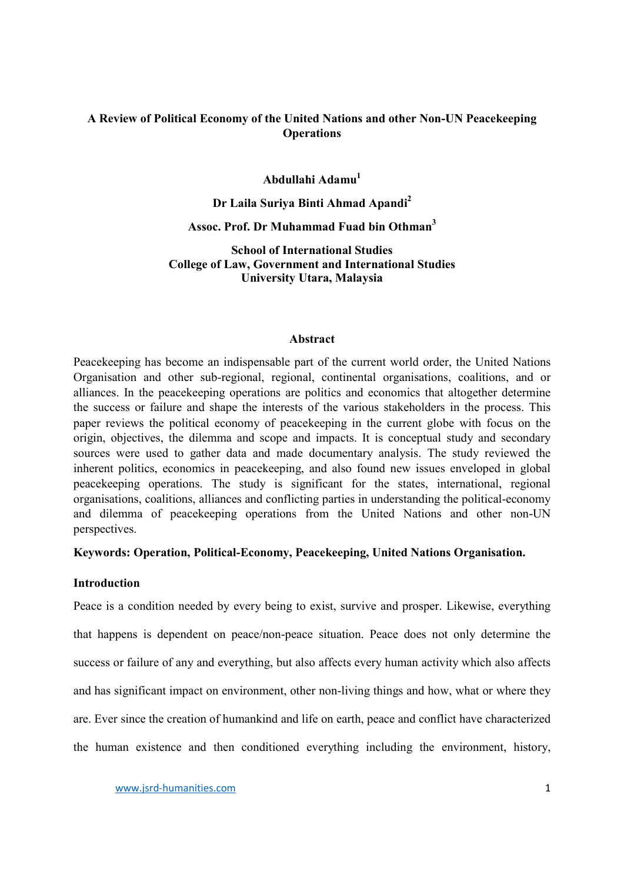## A Review of Political Economy of the United Nations and other Non-UN Peacekeeping **Operations**

## Abdullahi Adamu1

# Dr Laila Suriya Binti Ahmad Apandi<sup>2</sup>

## Assoc. Prof. Dr Muhammad Fuad bin Othman<sup>3</sup>

School of International Studies College of Law, Government and International Studies University Utara, Malaysia

#### Abstract

Peacekeeping has become an indispensable part of the current world order, the United Nations Organisation and other sub-regional, regional, continental organisations, coalitions, and or alliances. In the peacekeeping operations are politics and economics that altogether determine the success or failure and shape the interests of the various stakeholders in the process. This paper reviews the political economy of peacekeeping in the current globe with focus on the origin, objectives, the dilemma and scope and impacts. It is conceptual study and secondary sources were used to gather data and made documentary analysis. The study reviewed the inherent politics, economics in peacekeeping, and also found new issues enveloped in global peacekeeping operations. The study is significant for the states, international, regional organisations, coalitions, alliances and conflicting parties in understanding the political-economy and dilemma of peacekeeping operations from the United Nations and other non-UN perspectives.

### Keywords: Operation, Political-Economy, Peacekeeping, United Nations Organisation.

### **Introduction**

Peace is a condition needed by every being to exist, survive and prosper. Likewise, everything that happens is dependent on peace/non-peace situation. Peace does not only determine the success or failure of any and everything, but also affects every human activity which also affects and has significant impact on environment, other non-living things and how, what or where they are. Ever since the creation of humankind and life on earth, peace and conflict have characterized the human existence and then conditioned everything including the environment, history,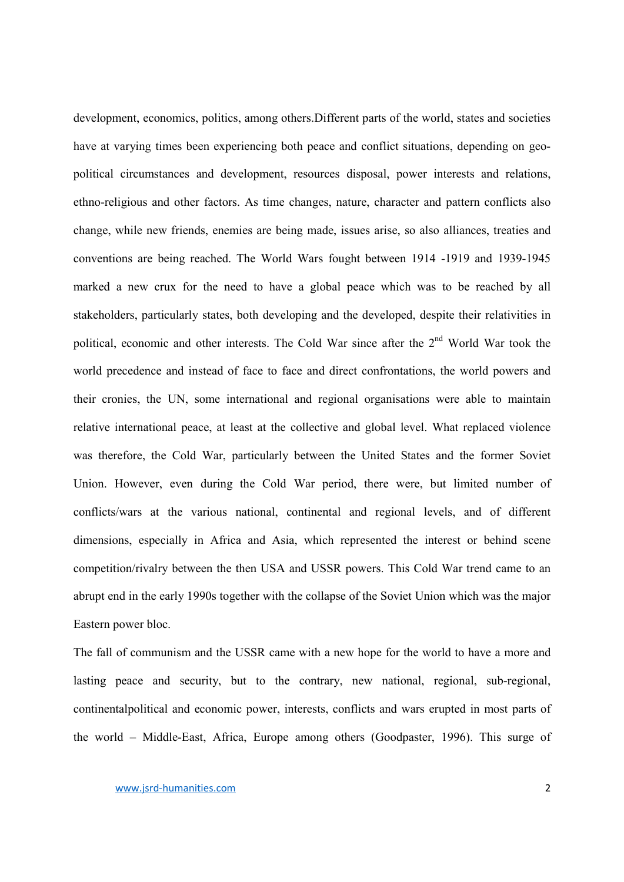development, economics, politics, among others.Different parts of the world, states and societies have at varying times been experiencing both peace and conflict situations, depending on geopolitical circumstances and development, resources disposal, power interests and relations, ethno-religious and other factors. As time changes, nature, character and pattern conflicts also change, while new friends, enemies are being made, issues arise, so also alliances, treaties and conventions are being reached. The World Wars fought between 1914 -1919 and 1939-1945 marked a new crux for the need to have a global peace which was to be reached by all stakeholders, particularly states, both developing and the developed, despite their relativities in political, economic and other interests. The Cold War since after the 2<sup>nd</sup> World War took the world precedence and instead of face to face and direct confrontations, the world powers and their cronies, the UN, some international and regional organisations were able to maintain relative international peace, at least at the collective and global level. What replaced violence was therefore, the Cold War, particularly between the United States and the former Soviet Union. However, even during the Cold War period, there were, but limited number of conflicts/wars at the various national, continental and regional levels, and of different dimensions, especially in Africa and Asia, which represented the interest or behind scene competition/rivalry between the then USA and USSR powers. This Cold War trend came to an abrupt end in the early 1990s together with the collapse of the Soviet Union which was the major Eastern power bloc.

The fall of communism and the USSR came with a new hope for the world to have a more and lasting peace and security, but to the contrary, new national, regional, sub-regional, continentalpolitical and economic power, interests, conflicts and wars erupted in most parts of the world – Middle-East, Africa, Europe among others (Goodpaster, 1996). This surge of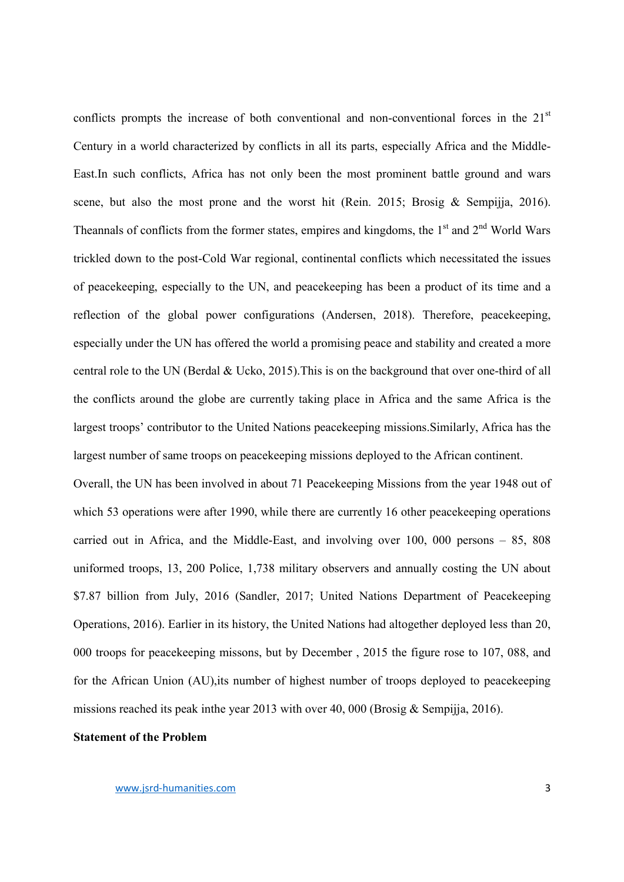conflicts prompts the increase of both conventional and non-conventional forces in the  $21<sup>st</sup>$ Century in a world characterized by conflicts in all its parts, especially Africa and the Middle-East.In such conflicts, Africa has not only been the most prominent battle ground and wars scene, but also the most prone and the worst hit (Rein. 2015; Brosig & Sempijja, 2016). Theannals of conflicts from the former states, empires and kingdoms, the  $1<sup>st</sup>$  and  $2<sup>nd</sup>$  World Wars trickled down to the post-Cold War regional, continental conflicts which necessitated the issues of peacekeeping, especially to the UN, and peacekeeping has been a product of its time and a reflection of the global power configurations (Andersen, 2018). Therefore, peacekeeping, especially under the UN has offered the world a promising peace and stability and created a more central role to the UN (Berdal & Ucko, 2015).This is on the background that over one-third of all the conflicts around the globe are currently taking place in Africa and the same Africa is the largest troops' contributor to the United Nations peacekeeping missions.Similarly, Africa has the largest number of same troops on peacekeeping missions deployed to the African continent.

Overall, the UN has been involved in about 71 Peacekeeping Missions from the year 1948 out of which 53 operations were after 1990, while there are currently 16 other peacekeeping operations carried out in Africa, and the Middle-East, and involving over 100, 000 persons – 85, 808 uniformed troops, 13, 200 Police, 1,738 military observers and annually costing the UN about \$7.87 billion from July, 2016 (Sandler, 2017; United Nations Department of Peacekeeping Operations, 2016). Earlier in its history, the United Nations had altogether deployed less than 20, 000 troops for peacekeeping missons, but by December , 2015 the figure rose to 107, 088, and for the African Union (AU),its number of highest number of troops deployed to peacekeeping missions reached its peak in the year 2013 with over 40, 000 (Brosig & Sempijia, 2016).

#### Statement of the Problem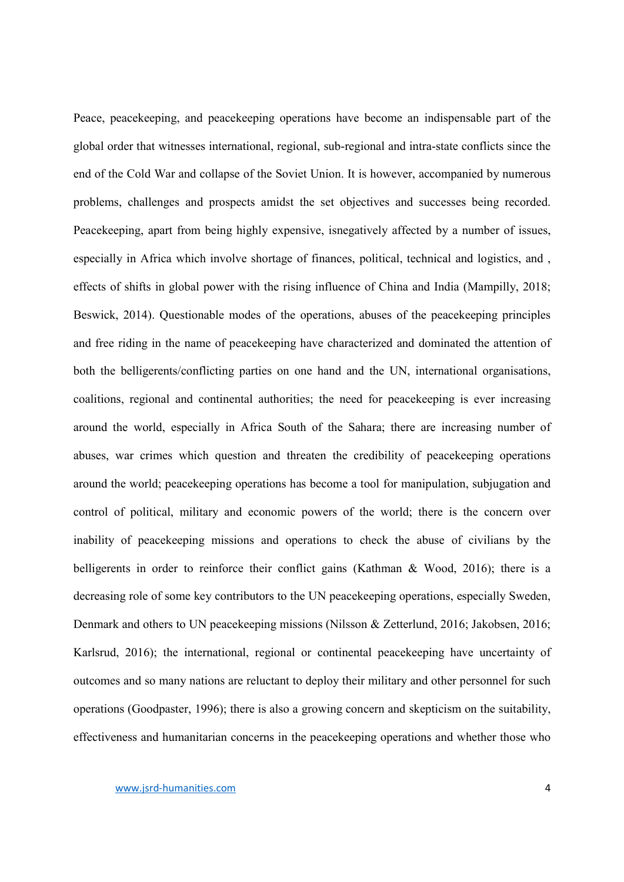Peace, peacekeeping, and peacekeeping operations have become an indispensable part of the global order that witnesses international, regional, sub-regional and intra-state conflicts since the end of the Cold War and collapse of the Soviet Union. It is however, accompanied by numerous problems, challenges and prospects amidst the set objectives and successes being recorded. Peacekeeping, apart from being highly expensive, isnegatively affected by a number of issues, especially in Africa which involve shortage of finances, political, technical and logistics, and , effects of shifts in global power with the rising influence of China and India (Mampilly, 2018; Beswick, 2014). Questionable modes of the operations, abuses of the peacekeeping principles and free riding in the name of peacekeeping have characterized and dominated the attention of both the belligerents/conflicting parties on one hand and the UN, international organisations, coalitions, regional and continental authorities; the need for peacekeeping is ever increasing around the world, especially in Africa South of the Sahara; there are increasing number of abuses, war crimes which question and threaten the credibility of peacekeeping operations around the world; peacekeeping operations has become a tool for manipulation, subjugation and control of political, military and economic powers of the world; there is the concern over inability of peacekeeping missions and operations to check the abuse of civilians by the belligerents in order to reinforce their conflict gains (Kathman & Wood, 2016); there is a decreasing role of some key contributors to the UN peacekeeping operations, especially Sweden, Denmark and others to UN peacekeeping missions (Nilsson & Zetterlund, 2016; Jakobsen, 2016; Karlsrud, 2016); the international, regional or continental peacekeeping have uncertainty of outcomes and so many nations are reluctant to deploy their military and other personnel for such operations (Goodpaster, 1996); there is also a growing concern and skepticism on the suitability, effectiveness and humanitarian concerns in the peacekeeping operations and whether those who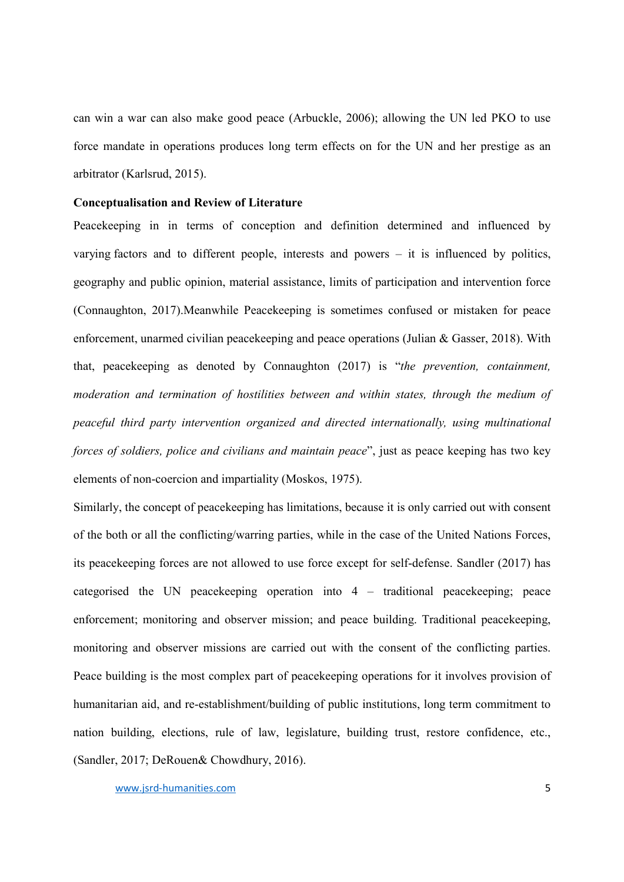can win a war can also make good peace (Arbuckle, 2006); allowing the UN led PKO to use force mandate in operations produces long term effects on for the UN and her prestige as an arbitrator (Karlsrud, 2015).

#### Conceptualisation and Review of Literature

Peacekeeping in in terms of conception and definition determined and influenced by varying factors and to different people, interests and powers – it is influenced by politics, geography and public opinion, material assistance, limits of participation and intervention force (Connaughton, 2017).Meanwhile Peacekeeping is sometimes confused or mistaken for peace enforcement, unarmed civilian peacekeeping and peace operations (Julian & Gasser, 2018). With that, peacekeeping as denoted by Connaughton (2017) is "*the prevention, containment, moderation and termination of hostilities between and within states, through the medium of peaceful third party intervention organized and directed internationally, using multinational forces of soldiers, police and civilians and maintain peace*", just as peace keeping has two key elements of non-coercion and impartiality (Moskos, 1975).

Similarly, the concept of peacekeeping has limitations, because it is only carried out with consent of the both or all the conflicting/warring parties, while in the case of the United Nations Forces, its peacekeeping forces are not allowed to use force except for self-defense. Sandler (2017) has categorised the UN peacekeeping operation into 4 – traditional peacekeeping; peace enforcement; monitoring and observer mission; and peace building. Traditional peacekeeping, monitoring and observer missions are carried out with the consent of the conflicting parties. Peace building is the most complex part of peacekeeping operations for it involves provision of humanitarian aid, and re-establishment/building of public institutions, long term commitment to nation building, elections, rule of law, legislature, building trust, restore confidence, etc., (Sandler, 2017; DeRouen& Chowdhury, 2016).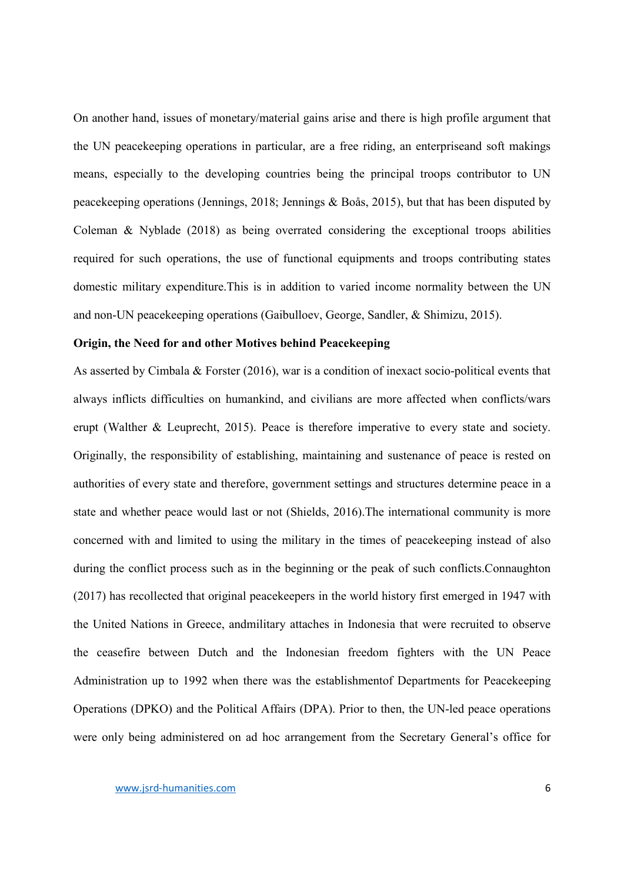On another hand, issues of monetary/material gains arise and there is high profile argument that the UN peacekeeping operations in particular, are a free riding, an enterpriseand soft makings means, especially to the developing countries being the principal troops contributor to UN peacekeeping operations (Jennings, 2018; Jennings & Boås, 2015), but that has been disputed by Coleman & Nyblade (2018) as being overrated considering the exceptional troops abilities required for such operations, the use of functional equipments and troops contributing states domestic military expenditure.This is in addition to varied income normality between the UN and non-UN peacekeeping operations (Gaibulloev, George, Sandler, & Shimizu, 2015).

#### Origin, the Need for and other Motives behind Peacekeeping

As asserted by Cimbala & Forster (2016), war is a condition of inexact socio-political events that always inflicts difficulties on humankind, and civilians are more affected when conflicts/wars erupt (Walther & Leuprecht, 2015). Peace is therefore imperative to every state and society. Originally, the responsibility of establishing, maintaining and sustenance of peace is rested on authorities of every state and therefore, government settings and structures determine peace in a state and whether peace would last or not (Shields, 2016).The international community is more concerned with and limited to using the military in the times of peacekeeping instead of also during the conflict process such as in the beginning or the peak of such conflicts.Connaughton (2017) has recollected that original peacekeepers in the world history first emerged in 1947 with the United Nations in Greece, andmilitary attaches in Indonesia that were recruited to observe the ceasefire between Dutch and the Indonesian freedom fighters with the UN Peace Administration up to 1992 when there was the establishmentof Departments for Peacekeeping Operations (DPKO) and the Political Affairs (DPA). Prior to then, the UN-led peace operations were only being administered on ad hoc arrangement from the Secretary General's office for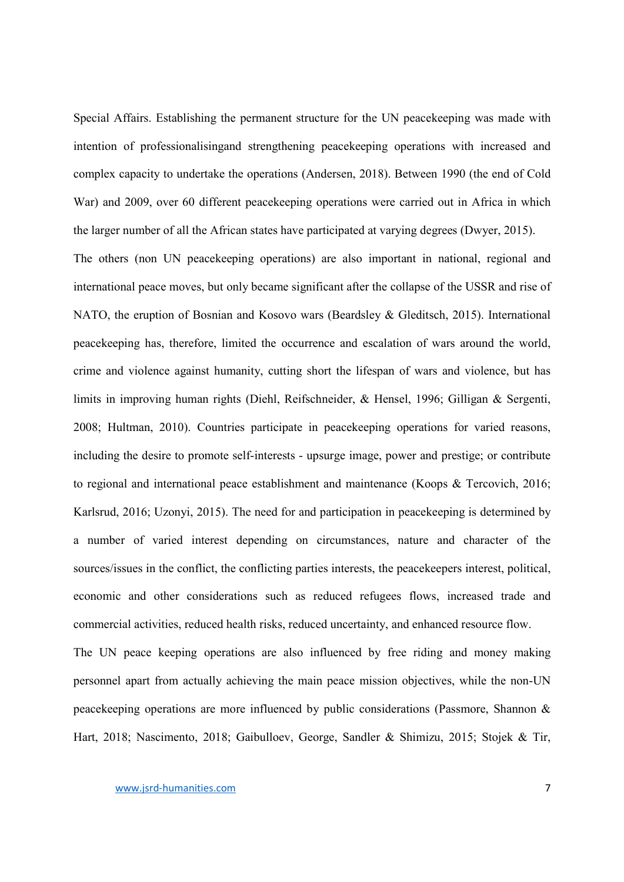Special Affairs. Establishing the permanent structure for the UN peacekeeping was made with intention of professionalisingand strengthening peacekeeping operations with increased and complex capacity to undertake the operations (Andersen, 2018). Between 1990 (the end of Cold War) and 2009, over 60 different peacekeeping operations were carried out in Africa in which the larger number of all the African states have participated at varying degrees (Dwyer, 2015).

The others (non UN peacekeeping operations) are also important in national, regional and international peace moves, but only became significant after the collapse of the USSR and rise of NATO, the eruption of Bosnian and Kosovo wars (Beardsley & Gleditsch, 2015). International peacekeeping has, therefore, limited the occurrence and escalation of wars around the world, crime and violence against humanity, cutting short the lifespan of wars and violence, but has limits in improving human rights (Diehl, Reifschneider, & Hensel, 1996; Gilligan & Sergenti, 2008; Hultman, 2010). Countries participate in peacekeeping operations for varied reasons, including the desire to promote self-interests - upsurge image, power and prestige; or contribute to regional and international peace establishment and maintenance (Koops & Tercovich, 2016; Karlsrud, 2016; Uzonyi, 2015). The need for and participation in peacekeeping is determined by a number of varied interest depending on circumstances, nature and character of the sources/issues in the conflict, the conflicting parties interests, the peacekeepers interest, political, economic and other considerations such as reduced refugees flows, increased trade and commercial activities, reduced health risks, reduced uncertainty, and enhanced resource flow.

The UN peace keeping operations are also influenced by free riding and money making personnel apart from actually achieving the main peace mission objectives, while the non-UN peacekeeping operations are more influenced by public considerations (Passmore, Shannon & Hart, 2018; Nascimento, 2018; Gaibulloev, George, Sandler & Shimizu, 2015; Stojek & Tir,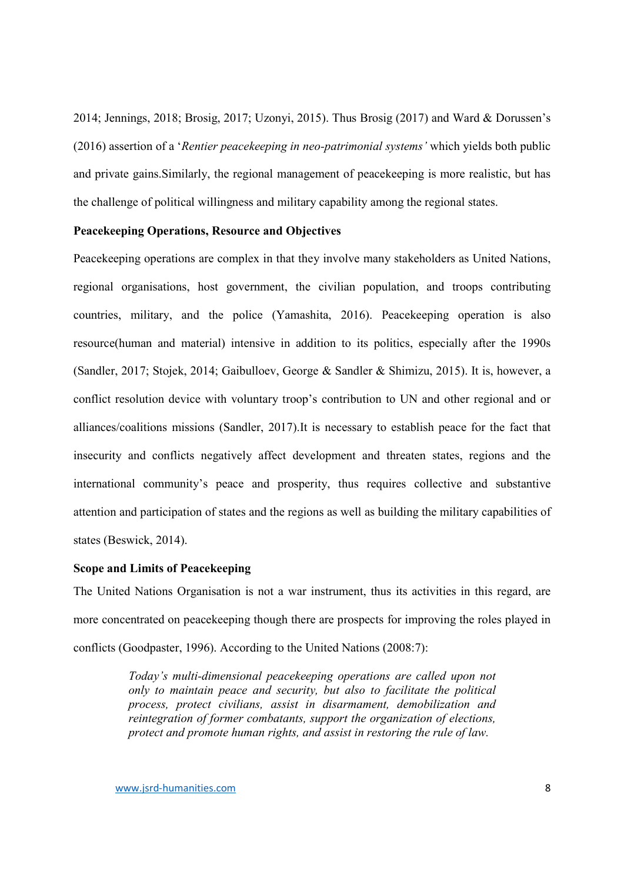2014; Jennings, 2018; Brosig, 2017; Uzonyi, 2015). Thus Brosig (2017) and Ward & Dorussen's (2016) assertion of a '*Rentier peacekeeping in neo-patrimonial systems'* which yields both public and private gains.Similarly, the regional management of peacekeeping is more realistic, but has the challenge of political willingness and military capability among the regional states.

#### Peacekeeping Operations, Resource and Objectives

Peacekeeping operations are complex in that they involve many stakeholders as United Nations, regional organisations, host government, the civilian population, and troops contributing countries, military, and the police (Yamashita, 2016). Peacekeeping operation is also resource(human and material) intensive in addition to its politics, especially after the 1990s (Sandler, 2017; Stojek, 2014; Gaibulloev, George & Sandler & Shimizu, 2015). It is, however, a conflict resolution device with voluntary troop's contribution to UN and other regional and or alliances/coalitions missions (Sandler, 2017).It is necessary to establish peace for the fact that insecurity and conflicts negatively affect development and threaten states, regions and the international community's peace and prosperity, thus requires collective and substantive attention and participation of states and the regions as well as building the military capabilities of states (Beswick, 2014).

## Scope and Limits of Peacekeeping

The United Nations Organisation is not a war instrument, thus its activities in this regard, are more concentrated on peacekeeping though there are prospects for improving the roles played in conflicts (Goodpaster, 1996). According to the United Nations (2008:7):

> *Today's multi-dimensional peacekeeping operations are called upon not only to maintain peace and security, but also to facilitate the political process, protect civilians, assist in disarmament, demobilization and reintegration of former combatants, support the organization of elections, protect and promote human rights, and assist in restoring the rule of law.*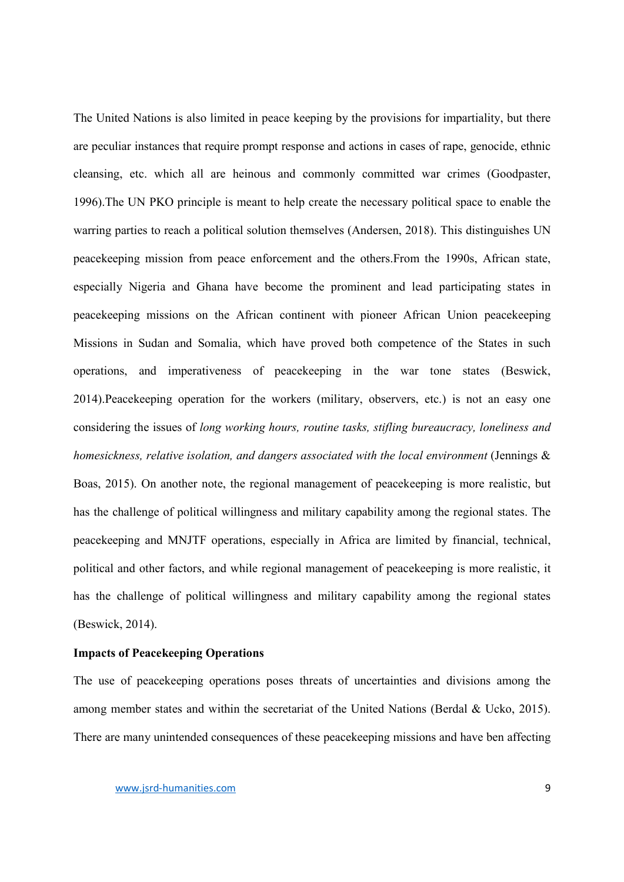The United Nations is also limited in peace keeping by the provisions for impartiality, but there are peculiar instances that require prompt response and actions in cases of rape, genocide, ethnic cleansing, etc. which all are heinous and commonly committed war crimes (Goodpaster, 1996).The UN PKO principle is meant to help create the necessary political space to enable the warring parties to reach a political solution themselves (Andersen, 2018). This distinguishes UN peacekeeping mission from peace enforcement and the others.From the 1990s, African state, especially Nigeria and Ghana have become the prominent and lead participating states in peacekeeping missions on the African continent with pioneer African Union peacekeeping Missions in Sudan and Somalia, which have proved both competence of the States in such operations, and imperativeness of peacekeeping in the war tone states (Beswick, 2014).Peacekeeping operation for the workers (military, observers, etc.) is not an easy one considering the issues of *long working hours, routine tasks, stifling bureaucracy, loneliness and homesickness, relative isolation, and dangers associated with the local environment* (Jennings & Boas, 2015). On another note, the regional management of peacekeeping is more realistic, but has the challenge of political willingness and military capability among the regional states. The peacekeeping and MNJTF operations, especially in Africa are limited by financial, technical, political and other factors, and while regional management of peacekeeping is more realistic, it has the challenge of political willingness and military capability among the regional states (Beswick, 2014).

### Impacts of Peacekeeping Operations

The use of peacekeeping operations poses threats of uncertainties and divisions among the among member states and within the secretariat of the United Nations (Berdal & Ucko, 2015). There are many unintended consequences of these peacekeeping missions and have ben affecting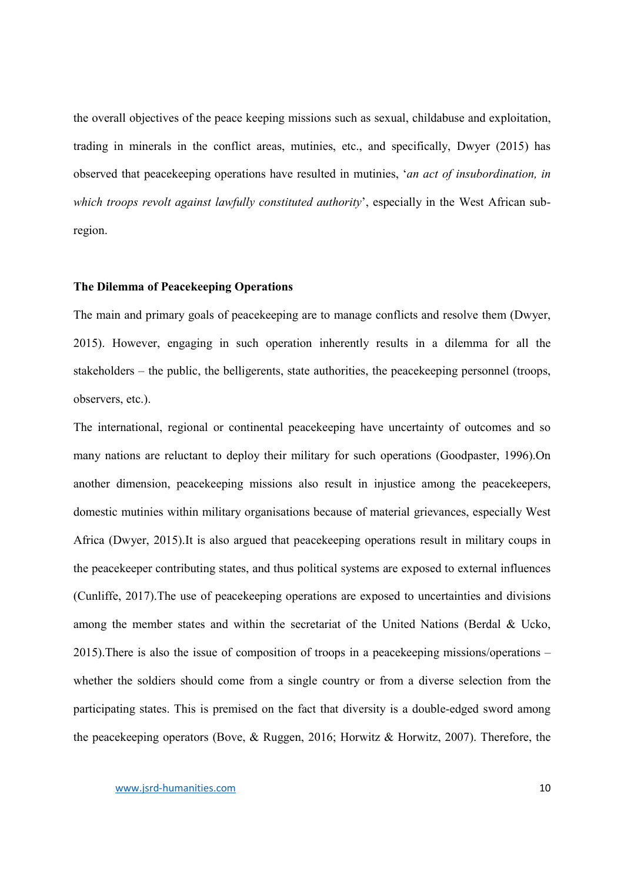the overall objectives of the peace keeping missions such as sexual, childabuse and exploitation, trading in minerals in the conflict areas, mutinies, etc., and specifically, Dwyer (2015) has observed that peacekeeping operations have resulted in mutinies, '*an act of insubordination, in which troops revolt against lawfully constituted authority*', especially in the West African subregion.

#### The Dilemma of Peacekeeping Operations

The main and primary goals of peacekeeping are to manage conflicts and resolve them (Dwyer, 2015). However, engaging in such operation inherently results in a dilemma for all the stakeholders – the public, the belligerents, state authorities, the peacekeeping personnel (troops, observers, etc.).

The international, regional or continental peacekeeping have uncertainty of outcomes and so many nations are reluctant to deploy their military for such operations (Goodpaster, 1996).On another dimension, peacekeeping missions also result in injustice among the peacekeepers, domestic mutinies within military organisations because of material grievances, especially West Africa (Dwyer, 2015).It is also argued that peacekeeping operations result in military coups in the peacekeeper contributing states, and thus political systems are exposed to external influences (Cunliffe, 2017).The use of peacekeeping operations are exposed to uncertainties and divisions among the member states and within the secretariat of the United Nations (Berdal & Ucko, 2015).There is also the issue of composition of troops in a peacekeeping missions/operations – whether the soldiers should come from a single country or from a diverse selection from the participating states. This is premised on the fact that diversity is a double-edged sword among the peacekeeping operators (Bove, & Ruggen, 2016; Horwitz & Horwitz, 2007). Therefore, the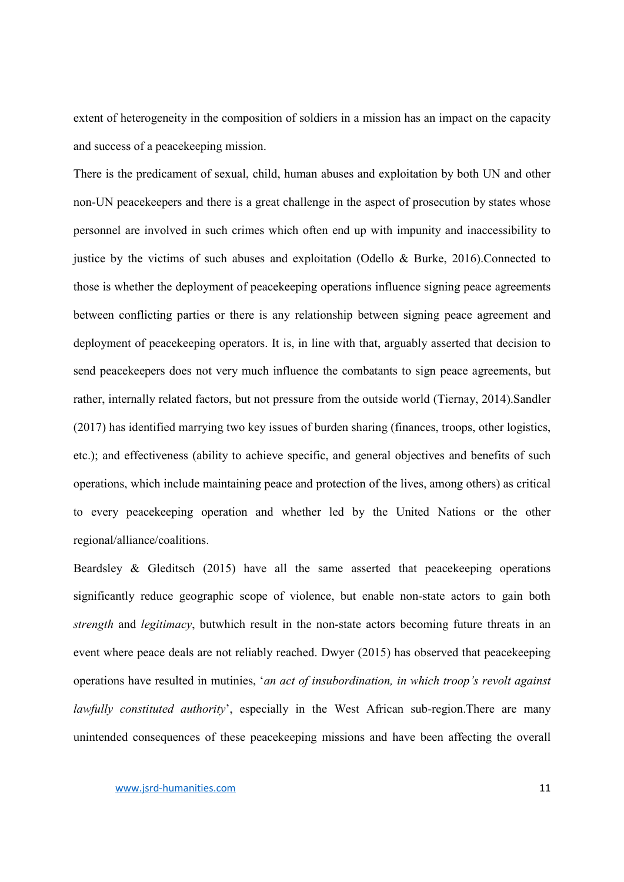extent of heterogeneity in the composition of soldiers in a mission has an impact on the capacity and success of a peacekeeping mission.

There is the predicament of sexual, child, human abuses and exploitation by both UN and other non-UN peacekeepers and there is a great challenge in the aspect of prosecution by states whose personnel are involved in such crimes which often end up with impunity and inaccessibility to justice by the victims of such abuses and exploitation (Odello & Burke, 2016).Connected to those is whether the deployment of peacekeeping operations influence signing peace agreements between conflicting parties or there is any relationship between signing peace agreement and deployment of peacekeeping operators. It is, in line with that, arguably asserted that decision to send peacekeepers does not very much influence the combatants to sign peace agreements, but rather, internally related factors, but not pressure from the outside world (Tiernay, 2014).Sandler (2017) has identified marrying two key issues of burden sharing (finances, troops, other logistics, etc.); and effectiveness (ability to achieve specific, and general objectives and benefits of such operations, which include maintaining peace and protection of the lives, among others) as critical to every peacekeeping operation and whether led by the United Nations or the other regional/alliance/coalitions.

Beardsley & Gleditsch (2015) have all the same asserted that peacekeeping operations significantly reduce geographic scope of violence, but enable non-state actors to gain both *strength* and *legitimacy*, butwhich result in the non-state actors becoming future threats in an event where peace deals are not reliably reached. Dwyer (2015) has observed that peacekeeping operations have resulted in mutinies, '*an act of insubordination, in which troop's revolt against lawfully constituted authority*', especially in the West African sub-region.There are many unintended consequences of these peacekeeping missions and have been affecting the overall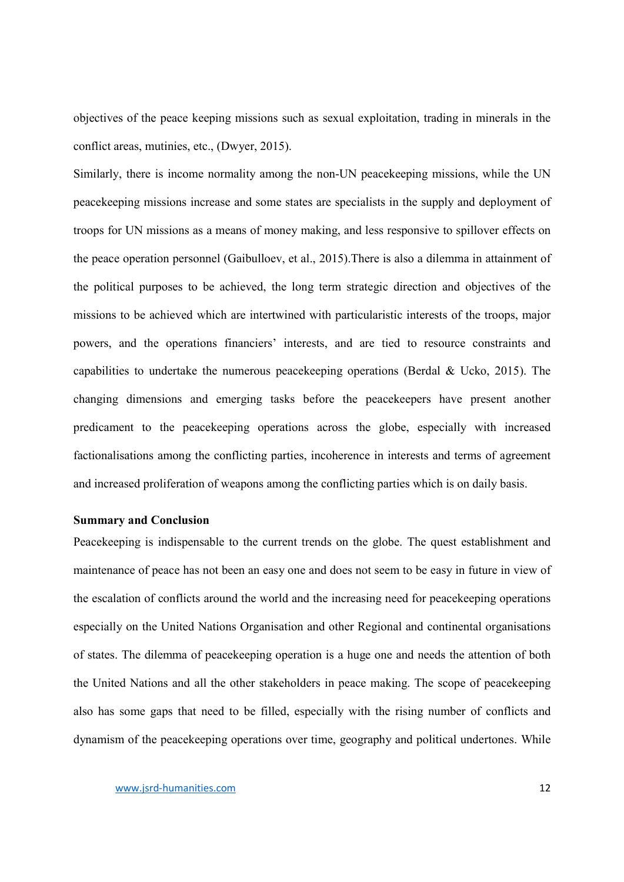objectives of the peace keeping missions such as sexual exploitation, trading in minerals in the conflict areas, mutinies, etc., (Dwyer, 2015).

Similarly, there is income normality among the non-UN peacekeeping missions, while the UN peacekeeping missions increase and some states are specialists in the supply and deployment of troops for UN missions as a means of money making, and less responsive to spillover effects on the peace operation personnel (Gaibulloev, et al., 2015).There is also a dilemma in attainment of the political purposes to be achieved, the long term strategic direction and objectives of the missions to be achieved which are intertwined with particularistic interests of the troops, major powers, and the operations financiers' interests, and are tied to resource constraints and capabilities to undertake the numerous peacekeeping operations (Berdal & Ucko, 2015). The changing dimensions and emerging tasks before the peacekeepers have present another predicament to the peacekeeping operations across the globe, especially with increased factionalisations among the conflicting parties, incoherence in interests and terms of agreement and increased proliferation of weapons among the conflicting parties which is on daily basis.

#### Summary and Conclusion

Peacekeeping is indispensable to the current trends on the globe. The quest establishment and maintenance of peace has not been an easy one and does not seem to be easy in future in view of the escalation of conflicts around the world and the increasing need for peacekeeping operations especially on the United Nations Organisation and other Regional and continental organisations of states. The dilemma of peacekeeping operation is a huge one and needs the attention of both the United Nations and all the other stakeholders in peace making. The scope of peacekeeping also has some gaps that need to be filled, especially with the rising number of conflicts and dynamism of the peacekeeping operations over time, geography and political undertones. While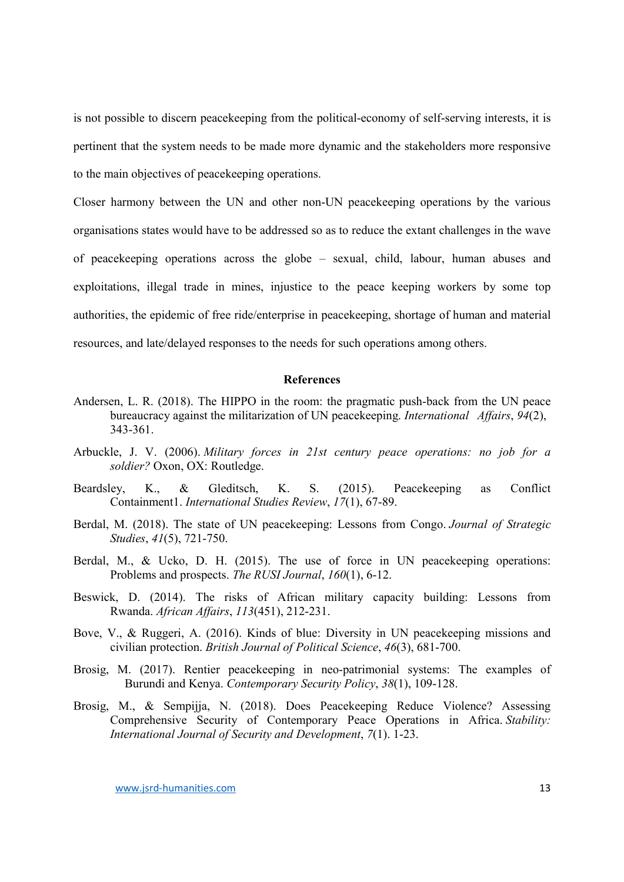is not possible to discern peacekeeping from the political-economy of self-serving interests, it is pertinent that the system needs to be made more dynamic and the stakeholders more responsive to the main objectives of peacekeeping operations.

Closer harmony between the UN and other non-UN peacekeeping operations by the various organisations states would have to be addressed so as to reduce the extant challenges in the wave of peacekeeping operations across the globe – sexual, child, labour, human abuses and exploitations, illegal trade in mines, injustice to the peace keeping workers by some top authorities, the epidemic of free ride/enterprise in peacekeeping, shortage of human and material resources, and late/delayed responses to the needs for such operations among others.

#### References

- Andersen, L. R. (2018). The HIPPO in the room: the pragmatic push-back from the UN peace bureaucracy against the militarization of UN peacekeeping. *International Affairs*, *94*(2), 343-361.
- Arbuckle, J. V. (2006). *Military forces in 21st century peace operations: no job for a soldier?* Oxon, OX: Routledge.
- Beardsley, K., & Gleditsch, K. S. (2015). Peacekeeping as Conflict Containment1. *International Studies Review*, *17*(1), 67-89.
- Berdal, M. (2018). The state of UN peacekeeping: Lessons from Congo. *Journal of Strategic Studies*, *41*(5), 721-750.
- Berdal, M., & Ucko, D. H. (2015). The use of force in UN peacekeeping operations: Problems and prospects. *The RUSI Journal*, *160*(1), 6-12.
- Beswick, D. (2014). The risks of African military capacity building: Lessons from Rwanda. *African Affairs*, *113*(451), 212-231.
- Bove, V., & Ruggeri, A. (2016). Kinds of blue: Diversity in UN peacekeeping missions and civilian protection. *British Journal of Political Science*, *46*(3), 681-700.
- Brosig, M. (2017). Rentier peacekeeping in neo-patrimonial systems: The examples of Burundi and Kenya. *Contemporary Security Policy*, *38*(1), 109-128.
- Brosig, M., & Sempijja, N. (2018). Does Peacekeeping Reduce Violence? Assessing Comprehensive Security of Contemporary Peace Operations in Africa. *Stability: International Journal of Security and Development*, *7*(1). 1-23.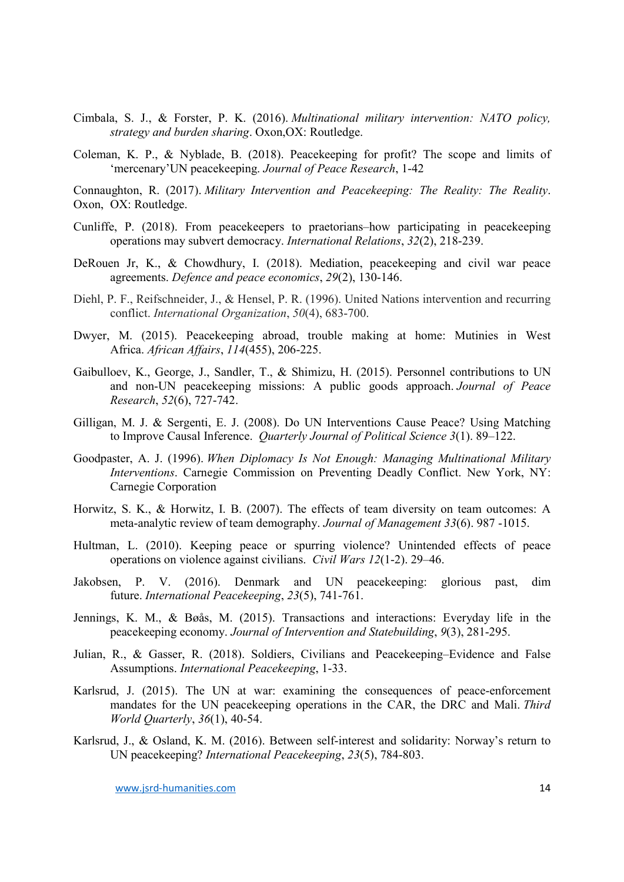- Cimbala, S. J., & Forster, P. K. (2016). *Multinational military intervention: NATO policy, strategy and burden sharing*. Oxon,OX: Routledge.
- Coleman, K. P., & Nyblade, B. (2018). Peacekeeping for profit? The scope and limits of 'mercenary'UN peacekeeping. *Journal of Peace Research*, 1-42

Connaughton, R. (2017). *Military Intervention and Peacekeeping: The Reality: The Reality*. Oxon, OX: Routledge.

- Cunliffe, P. (2018). From peacekeepers to praetorians–how participating in peacekeeping operations may subvert democracy. *International Relations*, *32*(2), 218-239.
- DeRouen Jr, K., & Chowdhury, I. (2018). Mediation, peacekeeping and civil war peace agreements. *Defence and peace economics*, *29*(2), 130-146.
- Diehl, P. F., Reifschneider, J., & Hensel, P. R. (1996). United Nations intervention and recurring conflict. *International Organization*, *50*(4), 683-700.
- Dwyer, M. (2015). Peacekeeping abroad, trouble making at home: Mutinies in West Africa. *African Affairs*, *114*(455), 206-225.
- Gaibulloev, K., George, J., Sandler, T., & Shimizu, H. (2015). Personnel contributions to UN and non-UN peacekeeping missions: A public goods approach. *Journal of Peace Research*, *52*(6), 727-742.
- Gilligan, M. J. & Sergenti, E. J. (2008). Do UN Interventions Cause Peace? Using Matching to Improve Causal Inference. *Quarterly Journal of Political Science 3*(1). 89–122.
- Goodpaster, A. J. (1996). *When Diplomacy Is Not Enough: Managing Multinational Military Interventions*. Carnegie Commission on Preventing Deadly Conflict. New York, NY: Carnegie Corporation
- Horwitz, S. K., & Horwitz, I. B. (2007). The effects of team diversity on team outcomes: A meta-analytic review of team demography. *Journal of Management 33*(6). 987 -1015.
- Hultman, L. (2010). Keeping peace or spurring violence? Unintended effects of peace operations on violence against civilians. *Civil Wars 12*(1-2). 29–46.
- Jakobsen, P. V. (2016). Denmark and UN peacekeeping: glorious past, dim future. *International Peacekeeping*, *23*(5), 741-761.
- Jennings, K. M., & Bøås, M. (2015). Transactions and interactions: Everyday life in the peacekeeping economy. *Journal of Intervention and Statebuilding*, *9*(3), 281-295.
- Julian, R., & Gasser, R. (2018). Soldiers, Civilians and Peacekeeping–Evidence and False Assumptions. *International Peacekeeping*, 1-33.
- Karlsrud, J. (2015). The UN at war: examining the consequences of peace-enforcement mandates for the UN peacekeeping operations in the CAR, the DRC and Mali. *Third World Quarterly*, *36*(1), 40-54.
- Karlsrud, J., & Osland, K. M. (2016). Between self-interest and solidarity: Norway's return to UN peacekeeping? *International Peacekeeping*, *23*(5), 784-803.

www.jsrd-humanities.com 14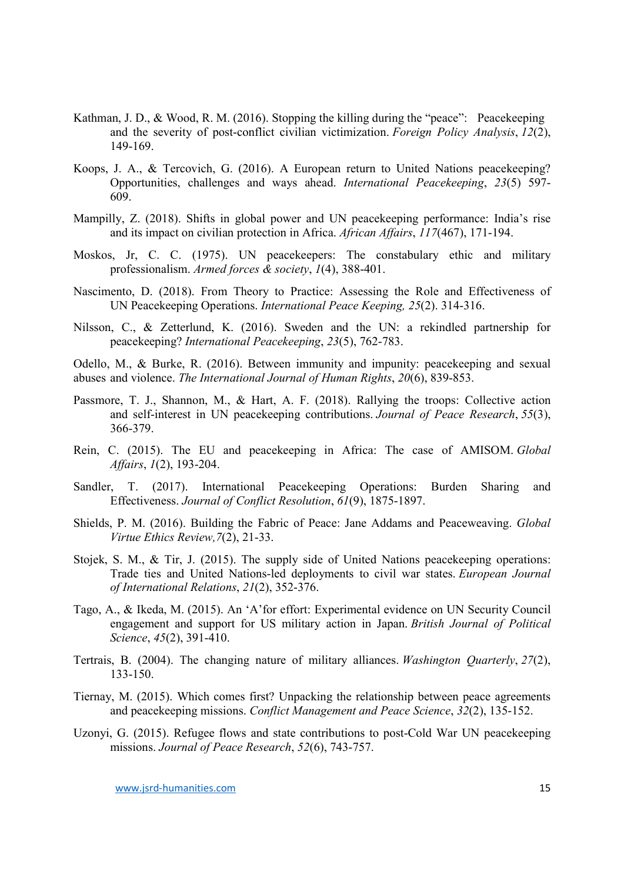- Kathman, J. D., & Wood, R. M. (2016). Stopping the killing during the "peace": Peacekeeping and the severity of post-conflict civilian victimization. *Foreign Policy Analysis*, *12*(2), 149-169.
- Koops, J. A., & Tercovich, G. (2016). A European return to United Nations peacekeeping? Opportunities, challenges and ways ahead. *International Peacekeeping*, *23*(5) 597- 609.
- Mampilly, Z. (2018). Shifts in global power and UN peacekeeping performance: India's rise and its impact on civilian protection in Africa. *African Affairs*, *117*(467), 171-194.
- Moskos, Jr, C. C. (1975). UN peacekeepers: The constabulary ethic and military professionalism. *Armed forces & society*, *1*(4), 388-401.
- Nascimento, D. (2018). From Theory to Practice: Assessing the Role and Effectiveness of UN Peacekeeping Operations. *International Peace Keeping, 25*(2). 314-316.
- Nilsson, C., & Zetterlund, K. (2016). Sweden and the UN: a rekindled partnership for peacekeeping? *International Peacekeeping*, *23*(5), 762-783.
- Odello, M., & Burke, R. (2016). Between immunity and impunity: peacekeeping and sexual abuses and violence. *The International Journal of Human Rights*, *20*(6), 839-853.
- Passmore, T. J., Shannon, M., & Hart, A. F. (2018). Rallying the troops: Collective action and self-interest in UN peacekeeping contributions. *Journal of Peace Research*, *55*(3), 366-379.
- Rein, C. (2015). The EU and peacekeeping in Africa: The case of AMISOM. *Global Affairs*, *1*(2), 193-204.
- Sandler, T. (2017). International Peacekeeping Operations: Burden Sharing and Effectiveness. *Journal of Conflict Resolution*, *61*(9), 1875-1897.
- Shields, P. M. (2016). Building the Fabric of Peace: Jane Addams and Peaceweaving. *Global Virtue Ethics Review,7*(2), 21-33.
- Stojek, S. M., & Tir, J. (2015). The supply side of United Nations peacekeeping operations: Trade ties and United Nations-led deployments to civil war states. *European Journal of International Relations*, *21*(2), 352-376.
- Tago, A., & Ikeda, M. (2015). An 'A'for effort: Experimental evidence on UN Security Council engagement and support for US military action in Japan. *British Journal of Political Science*, *45*(2), 391-410.
- Tertrais, B. (2004). The changing nature of military alliances. *Washington Quarterly*, *27*(2), 133-150.
- Tiernay, M. (2015). Which comes first? Unpacking the relationship between peace agreements and peacekeeping missions. *Conflict Management and Peace Science*, *32*(2), 135-152.
- Uzonyi, G. (2015). Refugee flows and state contributions to post-Cold War UN peacekeeping missions. *Journal of Peace Research*, *52*(6), 743-757.

www.jsrd-humanities.com 15